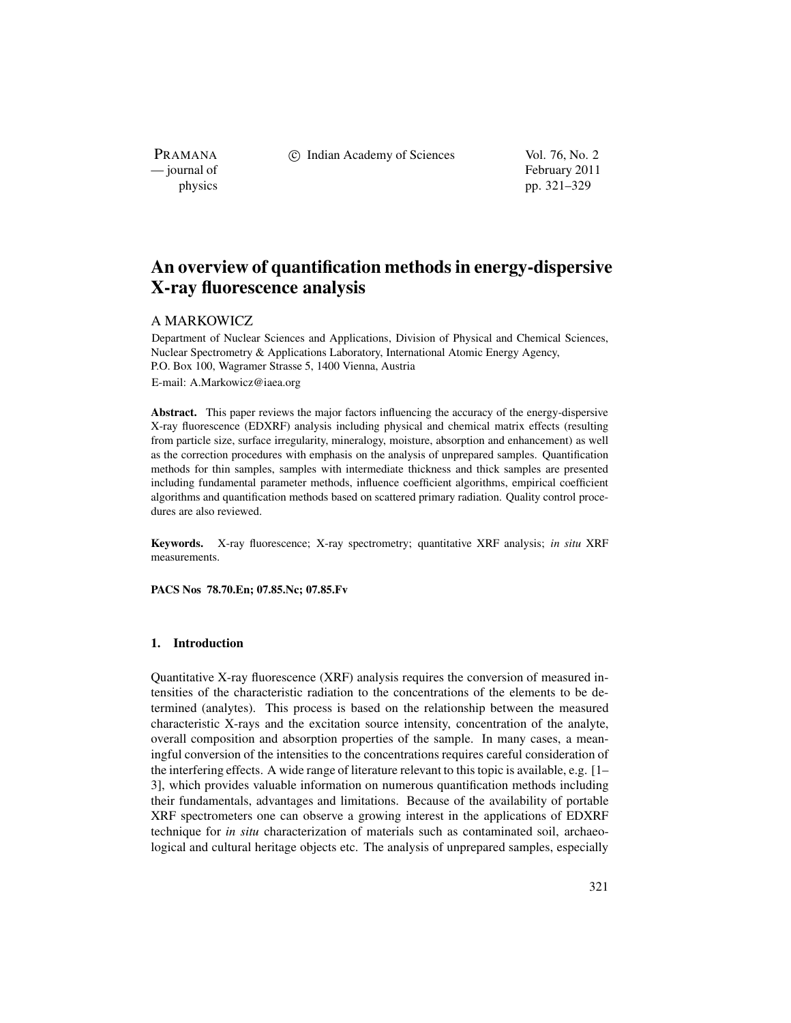PRAMANA<br>
— journal of

c Indian Academy of Sciences Vol. 76, No. 2

February 2011 physics pp. 321–329

# **An overview of quantification methods in energy-dispersive X-ray fluorescence analysis**

# A MARKOWICZ

Department of Nuclear Sciences and Applications, Division of Physical and Chemical Sciences, Nuclear Spectrometry & Applications Laboratory, International Atomic Energy Agency, P.O. Box 100, Wagramer Strasse 5, 1400 Vienna, Austria E-mail: A.Markowicz@iaea.org

**Abstract.** This paper reviews the major factors influencing the accuracy of the energy-dispersive X-ray fluorescence (EDXRF) analysis including physical and chemical matrix effects (resulting from particle size, surface irregularity, mineralogy, moisture, absorption and enhancement) as well as the correction procedures with emphasis on the analysis of unprepared samples. Quantification methods for thin samples, samples with intermediate thickness and thick samples are presented including fundamental parameter methods, influence coefficient algorithms, empirical coefficient algorithms and quantification methods based on scattered primary radiation. Quality control procedures are also reviewed.

**Keywords.** X-ray fluorescence; X-ray spectrometry; quantitative XRF analysis; *in situ* XRF measurements.

**PACS Nos 78.70.En; 07.85.Nc; 07.85.Fv**

# **1. Introduction**

Quantitative X-ray fluorescence (XRF) analysis requires the conversion of measured intensities of the characteristic radiation to the concentrations of the elements to be determined (analytes). This process is based on the relationship between the measured characteristic X-rays and the excitation source intensity, concentration of the analyte, overall composition and absorption properties of the sample. In many cases, a meaningful conversion of the intensities to the concentrations requires careful consideration of the interfering effects. A wide range of literature relevant to this topic is available, e.g. [1– 3], which provides valuable information on numerous quantification methods including their fundamentals, advantages and limitations. Because of the availability of portable XRF spectrometers one can observe a growing interest in the applications of EDXRF technique for *in situ* characterization of materials such as contaminated soil, archaeological and cultural heritage objects etc. The analysis of unprepared samples, especially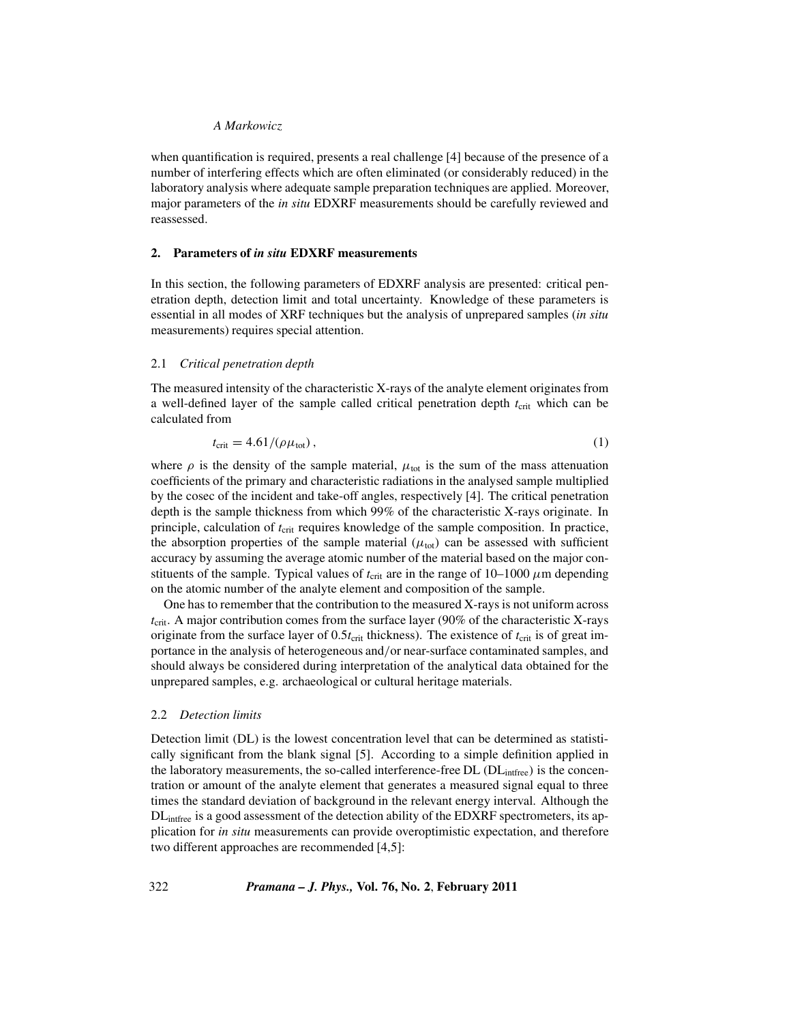when quantification is required, presents a real challenge [4] because of the presence of a number of interfering effects which are often eliminated (or considerably reduced) in the laboratory analysis where adequate sample preparation techniques are applied. Moreover, major parameters of the *in situ* EDXRF measurements should be carefully reviewed and reassessed.

# **2. Parameters of** *in situ* **EDXRF measurements**

In this section, the following parameters of EDXRF analysis are presented: critical penetration depth, detection limit and total uncertainty. Knowledge of these parameters is essential in all modes of XRF techniques but the analysis of unprepared samples (*in situ* measurements) requires special attention.

#### 2.1 *Critical penetration depth*

The measured intensity of the characteristic X-rays of the analyte element originates from a well-defined layer of the sample called critical penetration depth  $t_{\text{crit}}$  which can be calculated from

$$
t_{\rm crit} = 4.61/(\rho\mu_{\rm tot}),\tag{1}
$$

where  $\rho$  is the density of the sample material,  $\mu_{\text{tot}}$  is the sum of the mass attenuation coefficients of the primary and characteristic radiations in the analysed sample multiplied by the cosec of the incident and take-off angles, respectively [4]. The critical penetration depth is the sample thickness from which 99% of the characteristic X-rays originate. In principle, calculation of *t*crit requires knowledge of the sample composition. In practice, the absorption properties of the sample material  $(\mu_{\text{tot}})$  can be assessed with sufficient accuracy by assuming the average atomic number of the material based on the major constituents of the sample. Typical values of  $t_{\text{crit}}$  are in the range of 10–1000  $\mu$ m depending on the atomic number of the analyte element and composition of the sample.

One has to remember that the contribution to the measured X-rays is not uniform across *t*crit. A major contribution comes from the surface layer (90% of the characteristic X-rays originate from the surface layer of  $0.5t_{\text{crit}}$  thickness). The existence of  $t_{\text{crit}}$  is of great importance in the analysis of heterogeneous and/or near-surface contaminated samples, and should always be considered during interpretation of the analytical data obtained for the unprepared samples, e.g. archaeological or cultural heritage materials.

#### 2.2 *Detection limits*

Detection limit (DL) is the lowest concentration level that can be determined as statistically significant from the blank signal [5]. According to a simple definition applied in the laboratory measurements, the so-called interference-free  $DL (DL<sub>inthree</sub>)$  is the concentration or amount of the analyte element that generates a measured signal equal to three times the standard deviation of background in the relevant energy interval. Although the DLintfree is a good assessment of the detection ability of the EDXRF spectrometers, its application for *in situ* measurements can provide overoptimistic expectation, and therefore two different approaches are recommended [4,5]:

#### 322 *Pramana – J. Phys.,* **Vol. 76, No. 2**, **February 2011**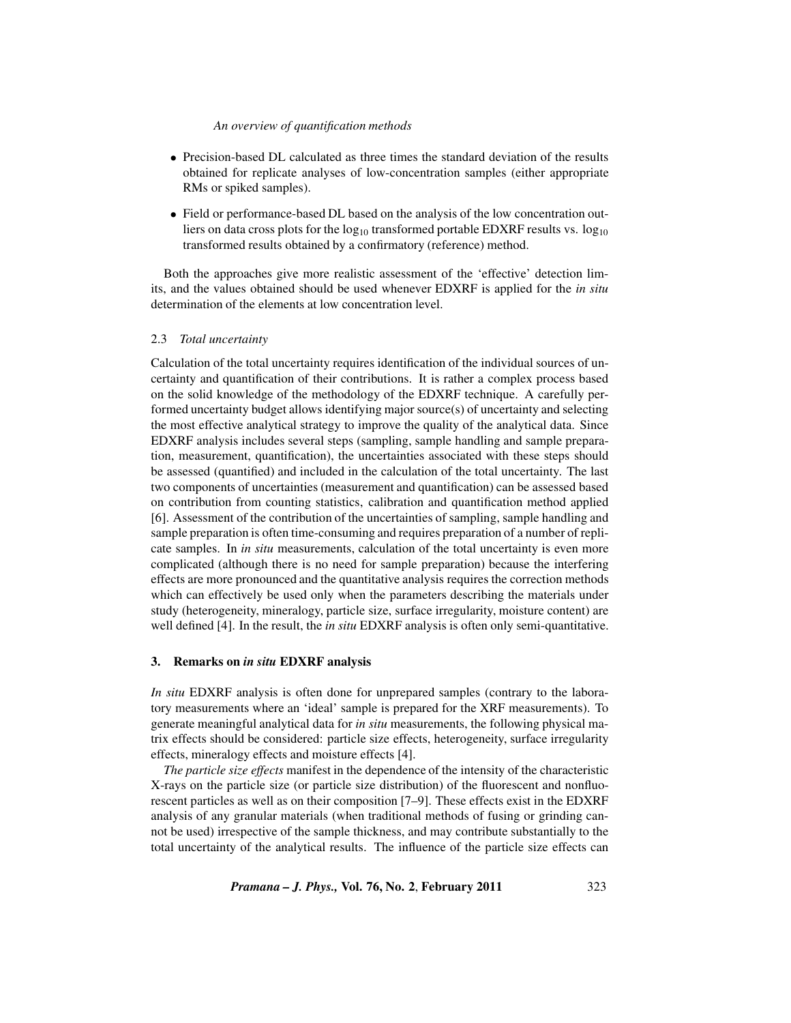- Precision-based DL calculated as three times the standard deviation of the results obtained for replicate analyses of low-concentration samples (either appropriate RMs or spiked samples).
- Field or performance-based DL based on the analysis of the low concentration outliers on data cross plots for the  $log_{10}$  transformed portable EDXRF results vs.  $log_{10}$ transformed results obtained by a confirmatory (reference) method.

Both the approaches give more realistic assessment of the 'effective' detection limits, and the values obtained should be used whenever EDXRF is applied for the *in situ* determination of the elements at low concentration level.

## 2.3 *Total uncertainty*

Calculation of the total uncertainty requires identification of the individual sources of uncertainty and quantification of their contributions. It is rather a complex process based on the solid knowledge of the methodology of the EDXRF technique. A carefully performed uncertainty budget allows identifying major source(s) of uncertainty and selecting the most effective analytical strategy to improve the quality of the analytical data. Since EDXRF analysis includes several steps (sampling, sample handling and sample preparation, measurement, quantification), the uncertainties associated with these steps should be assessed (quantified) and included in the calculation of the total uncertainty. The last two components of uncertainties (measurement and quantification) can be assessed based on contribution from counting statistics, calibration and quantification method applied [6]. Assessment of the contribution of the uncertainties of sampling, sample handling and sample preparation is often time-consuming and requires preparation of a number of replicate samples. In *in situ* measurements, calculation of the total uncertainty is even more complicated (although there is no need for sample preparation) because the interfering effects are more pronounced and the quantitative analysis requires the correction methods which can effectively be used only when the parameters describing the materials under study (heterogeneity, mineralogy, particle size, surface irregularity, moisture content) are well defined [4]. In the result, the *in situ* EDXRF analysis is often only semi-quantitative.

#### **3. Remarks on** *in situ* **EDXRF analysis**

*In situ* EDXRF analysis is often done for unprepared samples (contrary to the laboratory measurements where an 'ideal' sample is prepared for the XRF measurements). To generate meaningful analytical data for *in situ* measurements, the following physical matrix effects should be considered: particle size effects, heterogeneity, surface irregularity effects, mineralogy effects and moisture effects [4].

*The particle size effects* manifest in the dependence of the intensity of the characteristic X-rays on the particle size (or particle size distribution) of the fluorescent and nonfluorescent particles as well as on their composition [7–9]. These effects exist in the EDXRF analysis of any granular materials (when traditional methods of fusing or grinding cannot be used) irrespective of the sample thickness, and may contribute substantially to the total uncertainty of the analytical results. The influence of the particle size effects can

*Pramana – J. Phys.,* **Vol. 76, No. 2**, **February 2011** 323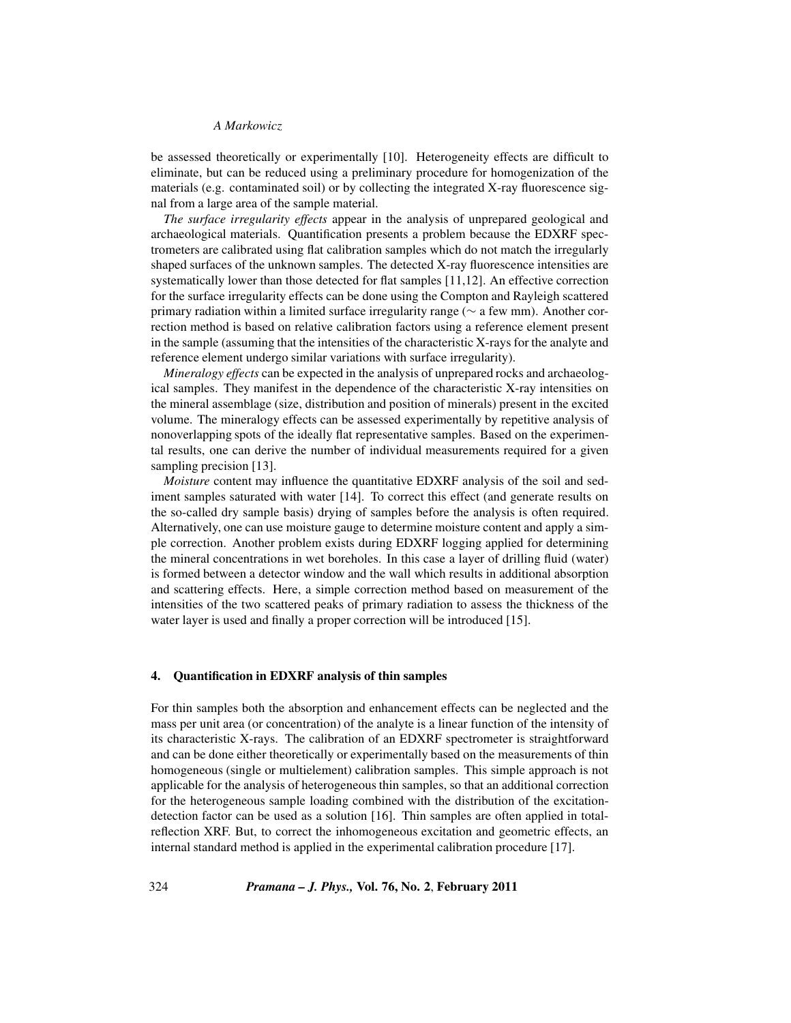be assessed theoretically or experimentally [10]. Heterogeneity effects are difficult to eliminate, but can be reduced using a preliminary procedure for homogenization of the materials (e.g. contaminated soil) or by collecting the integrated X-ray fluorescence signal from a large area of the sample material.

*The surface irregularity effects* appear in the analysis of unprepared geological and archaeological materials. Quantification presents a problem because the EDXRF spectrometers are calibrated using flat calibration samples which do not match the irregularly shaped surfaces of the unknown samples. The detected X-ray fluorescence intensities are systematically lower than those detected for flat samples [11,12]. An effective correction for the surface irregularity effects can be done using the Compton and Rayleigh scattered primary radiation within a limited surface irregularity range (∼ a few mm). Another correction method is based on relative calibration factors using a reference element present in the sample (assuming that the intensities of the characteristic X-rays for the analyte and reference element undergo similar variations with surface irregularity).

*Mineralogy effects* can be expected in the analysis of unprepared rocks and archaeological samples. They manifest in the dependence of the characteristic X-ray intensities on the mineral assemblage (size, distribution and position of minerals) present in the excited volume. The mineralogy effects can be assessed experimentally by repetitive analysis of nonoverlapping spots of the ideally flat representative samples. Based on the experimental results, one can derive the number of individual measurements required for a given sampling precision [13].

*Moisture* content may influence the quantitative EDXRF analysis of the soil and sediment samples saturated with water [14]. To correct this effect (and generate results on the so-called dry sample basis) drying of samples before the analysis is often required. Alternatively, one can use moisture gauge to determine moisture content and apply a simple correction. Another problem exists during EDXRF logging applied for determining the mineral concentrations in wet boreholes. In this case a layer of drilling fluid (water) is formed between a detector window and the wall which results in additional absorption and scattering effects. Here, a simple correction method based on measurement of the intensities of the two scattered peaks of primary radiation to assess the thickness of the water layer is used and finally a proper correction will be introduced [15].

# **4. Quantification in EDXRF analysis of thin samples**

For thin samples both the absorption and enhancement effects can be neglected and the mass per unit area (or concentration) of the analyte is a linear function of the intensity of its characteristic X-rays. The calibration of an EDXRF spectrometer is straightforward and can be done either theoretically or experimentally based on the measurements of thin homogeneous (single or multielement) calibration samples. This simple approach is not applicable for the analysis of heterogeneous thin samples, so that an additional correction for the heterogeneous sample loading combined with the distribution of the excitationdetection factor can be used as a solution [16]. Thin samples are often applied in totalreflection XRF. But, to correct the inhomogeneous excitation and geometric effects, an internal standard method is applied in the experimental calibration procedure [17].

324 *Pramana – J. Phys.,* **Vol. 76, No. 2**, **February 2011**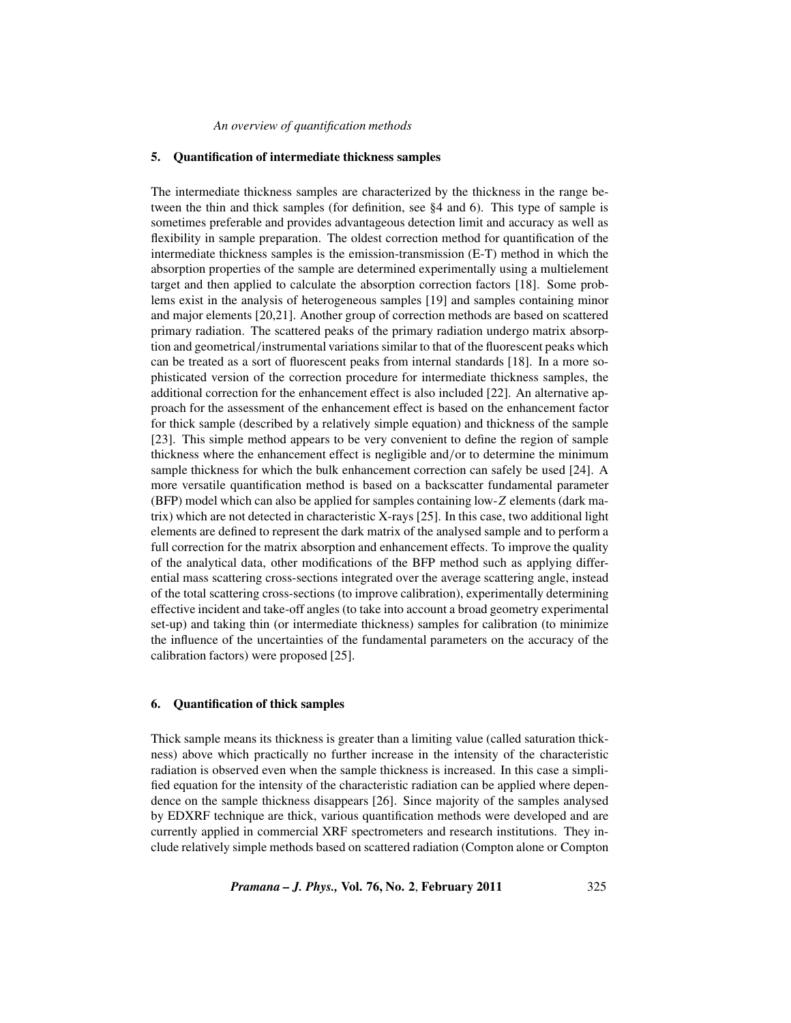# **5. Quantification of intermediate thickness samples**

The intermediate thickness samples are characterized by the thickness in the range between the thin and thick samples (for definition, see §4 and 6). This type of sample is sometimes preferable and provides advantageous detection limit and accuracy as well as flexibility in sample preparation. The oldest correction method for quantification of the intermediate thickness samples is the emission-transmission (E-T) method in which the absorption properties of the sample are determined experimentally using a multielement target and then applied to calculate the absorption correction factors [18]. Some problems exist in the analysis of heterogeneous samples [19] and samples containing minor and major elements [20,21]. Another group of correction methods are based on scattered primary radiation. The scattered peaks of the primary radiation undergo matrix absorption and geometrical/instrumental variations similar to that of the fluorescent peaks which can be treated as a sort of fluorescent peaks from internal standards [18]. In a more sophisticated version of the correction procedure for intermediate thickness samples, the additional correction for the enhancement effect is also included [22]. An alternative approach for the assessment of the enhancement effect is based on the enhancement factor for thick sample (described by a relatively simple equation) and thickness of the sample [23]. This simple method appears to be very convenient to define the region of sample thickness where the enhancement effect is negligible and/or to determine the minimum sample thickness for which the bulk enhancement correction can safely be used [24]. A more versatile quantification method is based on a backscatter fundamental parameter (BFP) model which can also be applied for samples containing low-*Z* elements (dark matrix) which are not detected in characteristic X-rays [25]. In this case, two additional light elements are defined to represent the dark matrix of the analysed sample and to perform a full correction for the matrix absorption and enhancement effects. To improve the quality of the analytical data, other modifications of the BFP method such as applying differential mass scattering cross-sections integrated over the average scattering angle, instead of the total scattering cross-sections (to improve calibration), experimentally determining effective incident and take-off angles (to take into account a broad geometry experimental set-up) and taking thin (or intermediate thickness) samples for calibration (to minimize the influence of the uncertainties of the fundamental parameters on the accuracy of the calibration factors) were proposed [25].

# **6. Quantification of thick samples**

Thick sample means its thickness is greater than a limiting value (called saturation thickness) above which practically no further increase in the intensity of the characteristic radiation is observed even when the sample thickness is increased. In this case a simplified equation for the intensity of the characteristic radiation can be applied where dependence on the sample thickness disappears [26]. Since majority of the samples analysed by EDXRF technique are thick, various quantification methods were developed and are currently applied in commercial XRF spectrometers and research institutions. They include relatively simple methods based on scattered radiation (Compton alone or Compton

*Pramana – J. Phys.,* **Vol. 76, No. 2**, **February 2011** 325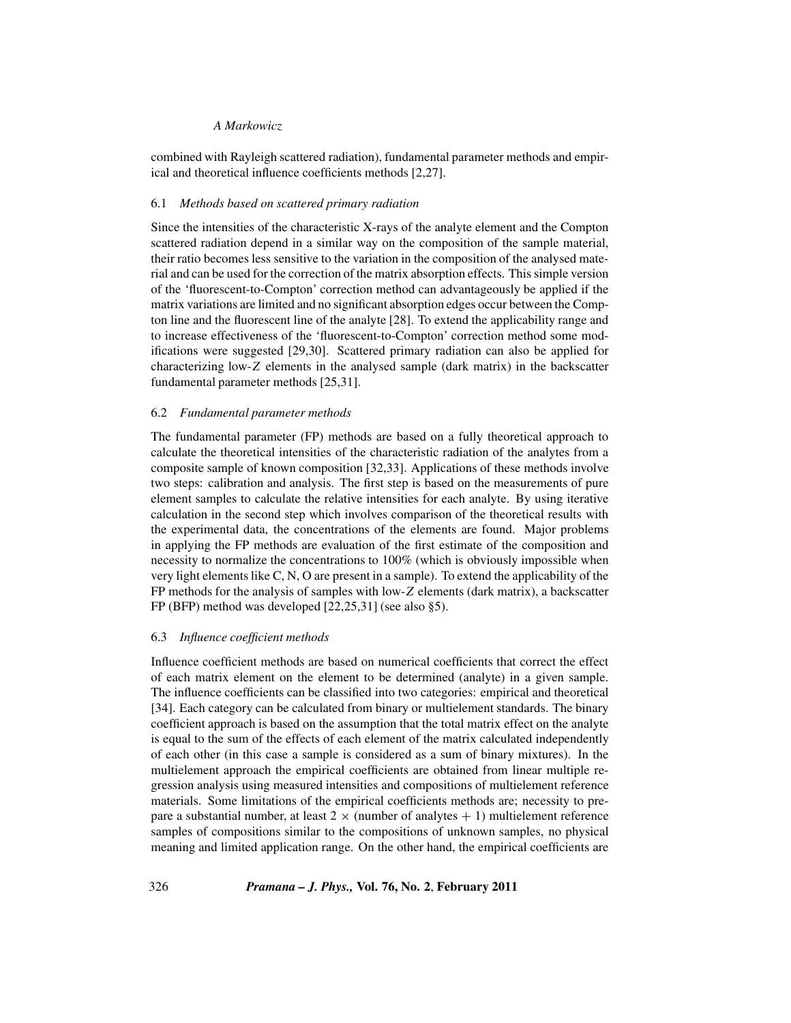combined with Rayleigh scattered radiation), fundamental parameter methods and empirical and theoretical influence coefficients methods [2,27].

#### 6.1 *Methods based on scattered primary radiation*

Since the intensities of the characteristic X-rays of the analyte element and the Compton scattered radiation depend in a similar way on the composition of the sample material, their ratio becomes less sensitive to the variation in the composition of the analysed material and can be used for the correction of the matrix absorption effects. This simple version of the 'fluorescent-to-Compton' correction method can advantageously be applied if the matrix variations are limited and no significant absorption edges occur between the Compton line and the fluorescent line of the analyte [28]. To extend the applicability range and to increase effectiveness of the 'fluorescent-to-Compton' correction method some modifications were suggested [29,30]. Scattered primary radiation can also be applied for characterizing low-*Z* elements in the analysed sample (dark matrix) in the backscatter fundamental parameter methods [25,31].

# 6.2 *Fundamental parameter methods*

The fundamental parameter (FP) methods are based on a fully theoretical approach to calculate the theoretical intensities of the characteristic radiation of the analytes from a composite sample of known composition [32,33]. Applications of these methods involve two steps: calibration and analysis. The first step is based on the measurements of pure element samples to calculate the relative intensities for each analyte. By using iterative calculation in the second step which involves comparison of the theoretical results with the experimental data, the concentrations of the elements are found. Major problems in applying the FP methods are evaluation of the first estimate of the composition and necessity to normalize the concentrations to 100% (which is obviously impossible when very light elements like C, N, O are present in a sample). To extend the applicability of the FP methods for the analysis of samples with low-*Z* elements (dark matrix), a backscatter FP (BFP) method was developed [22,25,31] (see also §5).

#### 6.3 *Influence coefficient methods*

Influence coefficient methods are based on numerical coefficients that correct the effect of each matrix element on the element to be determined (analyte) in a given sample. The influence coefficients can be classified into two categories: empirical and theoretical [34]. Each category can be calculated from binary or multielement standards. The binary coefficient approach is based on the assumption that the total matrix effect on the analyte is equal to the sum of the effects of each element of the matrix calculated independently of each other (in this case a sample is considered as a sum of binary mixtures). In the multielement approach the empirical coefficients are obtained from linear multiple regression analysis using measured intensities and compositions of multielement reference materials. Some limitations of the empirical coefficients methods are; necessity to prepare a substantial number, at least  $2 \times$  (number of analytes  $+ 1$ ) multielement reference samples of compositions similar to the compositions of unknown samples, no physical meaning and limited application range. On the other hand, the empirical coefficients are

326 *Pramana – J. Phys.,* **Vol. 76, No. 2**, **February 2011**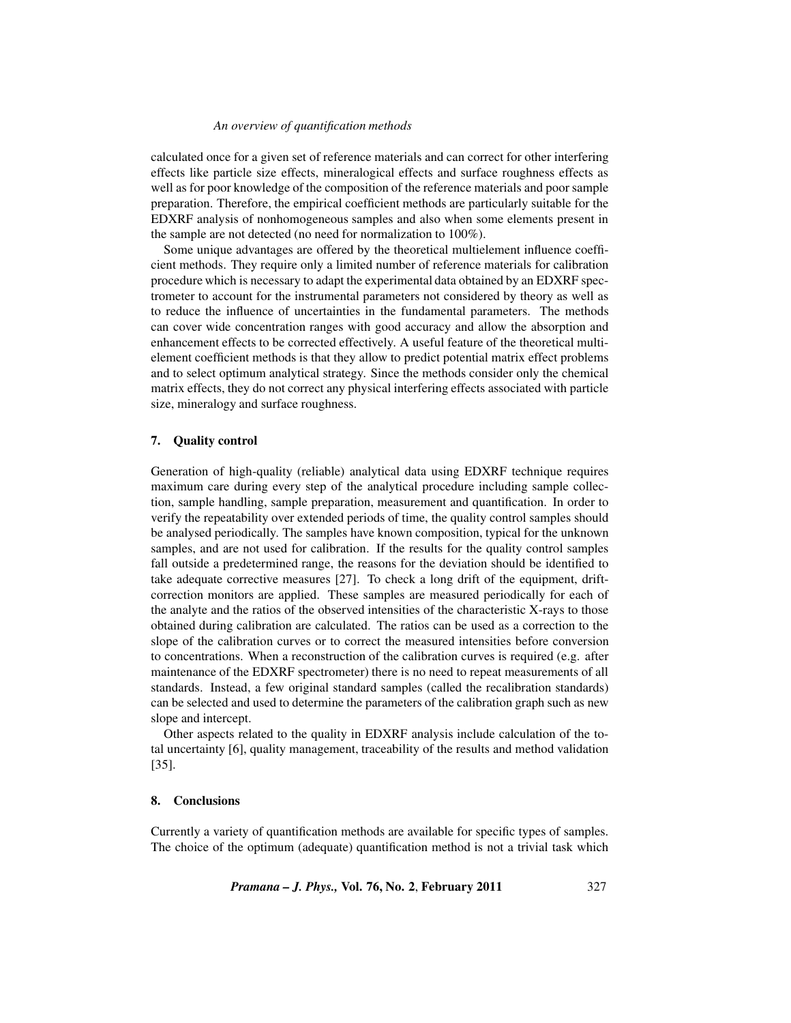calculated once for a given set of reference materials and can correct for other interfering effects like particle size effects, mineralogical effects and surface roughness effects as well as for poor knowledge of the composition of the reference materials and poor sample preparation. Therefore, the empirical coefficient methods are particularly suitable for the EDXRF analysis of nonhomogeneous samples and also when some elements present in the sample are not detected (no need for normalization to 100%).

Some unique advantages are offered by the theoretical multielement influence coefficient methods. They require only a limited number of reference materials for calibration procedure which is necessary to adapt the experimental data obtained by an EDXRF spectrometer to account for the instrumental parameters not considered by theory as well as to reduce the influence of uncertainties in the fundamental parameters. The methods can cover wide concentration ranges with good accuracy and allow the absorption and enhancement effects to be corrected effectively. A useful feature of the theoretical multielement coefficient methods is that they allow to predict potential matrix effect problems and to select optimum analytical strategy. Since the methods consider only the chemical matrix effects, they do not correct any physical interfering effects associated with particle size, mineralogy and surface roughness.

# **7. Quality control**

Generation of high-quality (reliable) analytical data using EDXRF technique requires maximum care during every step of the analytical procedure including sample collection, sample handling, sample preparation, measurement and quantification. In order to verify the repeatability over extended periods of time, the quality control samples should be analysed periodically. The samples have known composition, typical for the unknown samples, and are not used for calibration. If the results for the quality control samples fall outside a predetermined range, the reasons for the deviation should be identified to take adequate corrective measures [27]. To check a long drift of the equipment, driftcorrection monitors are applied. These samples are measured periodically for each of the analyte and the ratios of the observed intensities of the characteristic X-rays to those obtained during calibration are calculated. The ratios can be used as a correction to the slope of the calibration curves or to correct the measured intensities before conversion to concentrations. When a reconstruction of the calibration curves is required (e.g. after maintenance of the EDXRF spectrometer) there is no need to repeat measurements of all standards. Instead, a few original standard samples (called the recalibration standards) can be selected and used to determine the parameters of the calibration graph such as new slope and intercept.

Other aspects related to the quality in EDXRF analysis include calculation of the total uncertainty [6], quality management, traceability of the results and method validation [35].

# **8. Conclusions**

Currently a variety of quantification methods are available for specific types of samples. The choice of the optimum (adequate) quantification method is not a trivial task which

*Pramana – J. Phys.,* **Vol. 76, No. 2**, **February 2011** 327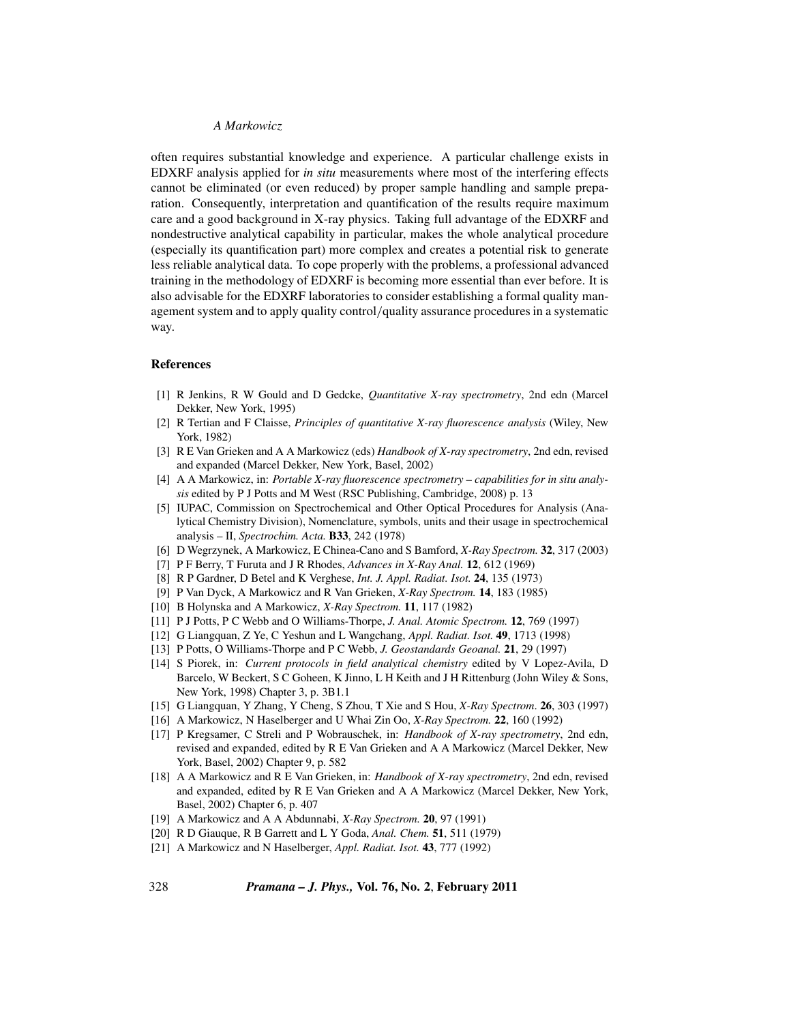often requires substantial knowledge and experience. A particular challenge exists in EDXRF analysis applied for *in situ* measurements where most of the interfering effects cannot be eliminated (or even reduced) by proper sample handling and sample preparation. Consequently, interpretation and quantification of the results require maximum care and a good background in X-ray physics. Taking full advantage of the EDXRF and nondestructive analytical capability in particular, makes the whole analytical procedure (especially its quantification part) more complex and creates a potential risk to generate less reliable analytical data. To cope properly with the problems, a professional advanced training in the methodology of EDXRF is becoming more essential than ever before. It is also advisable for the EDXRF laboratories to consider establishing a formal quality management system and to apply quality control/quality assurance procedures in a systematic way.

#### **References**

- [1] R Jenkins, R W Gould and D Gedcke, *Quantitative X-ray spectrometry*, 2nd edn (Marcel Dekker, New York, 1995)
- [2] R Tertian and F Claisse, *Principles of quantitative X-ray fluorescence analysis* (Wiley, New York, 1982)
- [3] R E Van Grieken and A A Markowicz (eds) *Handbook of X-ray spectrometry*, 2nd edn, revised and expanded (Marcel Dekker, New York, Basel, 2002)
- [4] A A Markowicz, in: *Portable X-ray fluorescence spectrometry capabilities for in situ analysis* edited by P J Potts and M West (RSC Publishing, Cambridge, 2008) p. 13
- [5] IUPAC, Commission on Spectrochemical and Other Optical Procedures for Analysis (Analytical Chemistry Division), Nomenclature, symbols, units and their usage in spectrochemical analysis – II, *Spectrochim. Acta.* **B33**, 242 (1978)
- [6] D Wegrzynek, A Markowicz, E Chinea-Cano and S Bamford, *X-Ray Spectrom.* **32**, 317 (2003)
- [7] P F Berry, T Furuta and J R Rhodes, *Advances in X-Ray Anal.* **12**, 612 (1969)
- [8] R P Gardner, D Betel and K Verghese, *Int. J. Appl. Radiat. Isot.* **24**, 135 (1973)
- [9] P Van Dyck, A Markowicz and R Van Grieken, *X-Ray Spectrom.* **14**, 183 (1985)
- [10] B Holynska and A Markowicz, *X-Ray Spectrom.* **11**, 117 (1982)
- [11] P J Potts, P C Webb and O Williams-Thorpe, *J. Anal. Atomic Spectrom.* **12**, 769 (1997)
- [12] G Liangquan, Z Ye, C Yeshun and L Wangchang, *Appl. Radiat. Isot.* **49**, 1713 (1998)
- [13] P Potts, O Williams-Thorpe and P C Webb, *J. Geostandards Geoanal.* **21**, 29 (1997)
- [14] S Piorek, in: *Current protocols in field analytical chemistry* edited by V Lopez-Avila, D Barcelo, W Beckert, S C Goheen, K Jinno, L H Keith and J H Rittenburg (John Wiley & Sons, New York, 1998) Chapter 3, p. 3B1.1
- [15] G Liangquan, Y Zhang, Y Cheng, S Zhou, T Xie and S Hou, *X-Ray Spectrom*. **26**, 303 (1997)
- [16] A Markowicz, N Haselberger and U Whai Zin Oo, *X-Ray Spectrom.* **22**, 160 (1992)
- [17] P Kregsamer, C Streli and P Wobrauschek, in: *Handbook of X-ray spectrometry*, 2nd edn, revised and expanded, edited by R E Van Grieken and A A Markowicz (Marcel Dekker, New York, Basel, 2002) Chapter 9, p. 582
- [18] A A Markowicz and R E Van Grieken, in: *Handbook of X-ray spectrometry*, 2nd edn, revised and expanded, edited by R E Van Grieken and A A Markowicz (Marcel Dekker, New York, Basel, 2002) Chapter 6, p. 407
- [19] A Markowicz and A A Abdunnabi, *X-Ray Spectrom.* **20**, 97 (1991)
- [20] R D Giauque, R B Garrett and L Y Goda, *Anal. Chem.* **51**, 511 (1979)
- [21] A Markowicz and N Haselberger, *Appl. Radiat. Isot.* **43**, 777 (1992)